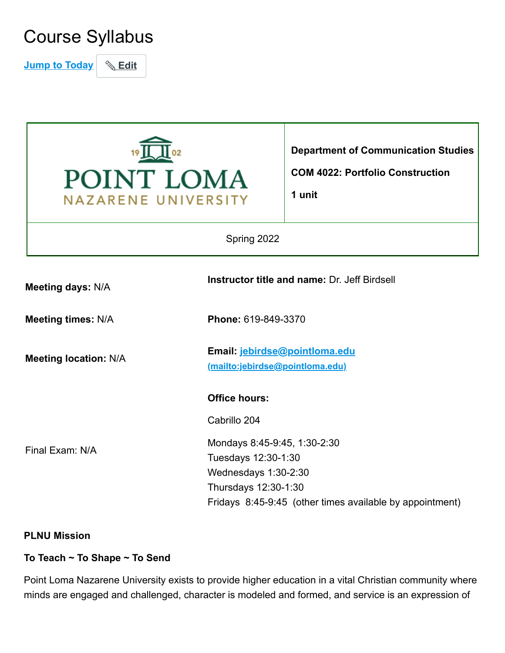# Course Syllabus

**Jump to Today** | **Edit** 



#### **PLNU Mission**

#### **To Teach ~ To Shape ~ To Send**

Point Loma Nazarene University exists to provide higher education in a vital Christian community where minds are engaged and challenged, character is modeled and formed, and service is an expression of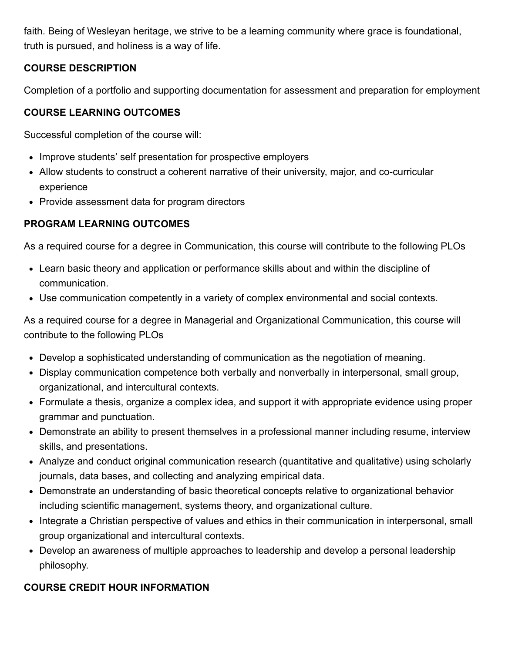faith. Being of Wesleyan heritage, we strive to be a learning community where grace is foundational, truth is pursued, and holiness is a way of life.

### **COURSE DESCRIPTION**

Completion of a portfolio and supporting documentation for assessment and preparation for employment

### **COURSE LEARNING OUTCOMES**

Successful completion of the course will:

- Improve students' self presentation for prospective employers
- Allow students to construct a coherent narrative of their university, major, and co-curricular experience
- Provide assessment data for program directors

# **PROGRAM LEARNING OUTCOMES**

As a required course for a degree in Communication, this course will contribute to the following PLOs

- Learn basic theory and application or performance skills about and within the discipline of communication.
- Use communication competently in a variety of complex environmental and social contexts.

As a required course for a degree in Managerial and Organizational Communication, this course will contribute to the following PLOs

- Develop a sophisticated understanding of communication as the negotiation of meaning.
- Display communication competence both verbally and nonverbally in interpersonal, small group, organizational, and intercultural contexts.
- Formulate a thesis, organize a complex idea, and support it with appropriate evidence using proper grammar and punctuation.
- Demonstrate an ability to present themselves in a professional manner including resume, interview skills, and presentations.
- Analyze and conduct original communication research (quantitative and qualitative) using scholarly journals, data bases, and collecting and analyzing empirical data.
- Demonstrate an understanding of basic theoretical concepts relative to organizational behavior including scientific management, systems theory, and organizational culture.
- Integrate a Christian perspective of values and ethics in their communication in interpersonal, small group organizational and intercultural contexts.
- Develop an awareness of multiple approaches to leadership and develop a personal leadership philosophy.

## **COURSE CREDIT HOUR INFORMATION**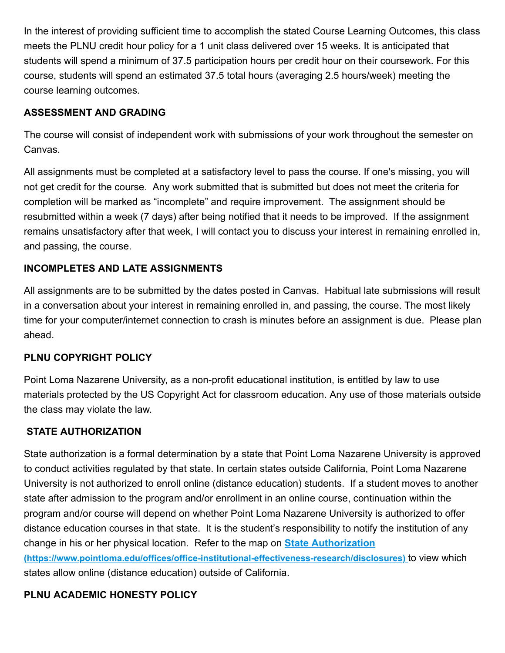In the interest of providing sufficient time to accomplish the stated Course Learning Outcomes, this class meets the PLNU credit hour policy for a 1 unit class delivered over 15 weeks. It is anticipated that students will spend a minimum of 37.5 participation hours per credit hour on their coursework. For this course, students will spend an estimated 37.5 total hours (averaging 2.5 hours/week) meeting the course learning outcomes.

# **ASSESSMENT AND GRADING**

The course will consist of independent work with submissions of your work throughout the semester on Canvas.

All assignments must be completed at a satisfactory level to pass the course. If one's missing, you will not get credit for the course. Any work submitted that is submitted but does not meet the criteria for completion will be marked as "incomplete" and require improvement. The assignment should be resubmitted within a week (7 days) after being notified that it needs to be improved. If the assignment remains unsatisfactory after that week, I will contact you to discuss your interest in remaining enrolled in, and passing, the course.

# **INCOMPLETES AND LATE ASSIGNMENTS**

All assignments are to be submitted by the dates posted in Canvas. Habitual late submissions will result in a conversation about your interest in remaining enrolled in, and passing, the course. The most likely time for your computer/internet connection to crash is minutes before an assignment is due. Please plan ahead.

## **PLNU COPYRIGHT POLICY**

Point Loma Nazarene University, as a non-profit educational institution, is entitled by law to use materials protected by the US Copyright Act for classroom education. Any use of those materials outside the class may violate the law.

## **STATE AUTHORIZATION**

State authorization is a formal determination by a state that Point Loma Nazarene University is approved to conduct activities regulated by that state. In certain states outside California, Point Loma Nazarene University is not authorized to enroll online (distance education) students. If a student moves to another state after admission to the program and/or enrollment in an online course, continuation within the program and/or course will depend on whether Point Loma Nazarene University is authorized to offer distance education courses in that state. It is the student's responsibility to notify the institution of any change in his or her physical location. Refer to the map on **State Authorization [\(https://www.pointloma.edu/offices/office-institutional-effectiveness-research/disclosures\)](https://www.pointloma.edu/offices/office-institutional-effectiveness-research/disclosures)** to view which states allow online (distance education) outside of California.

## **PLNU ACADEMIC HONESTY POLICY**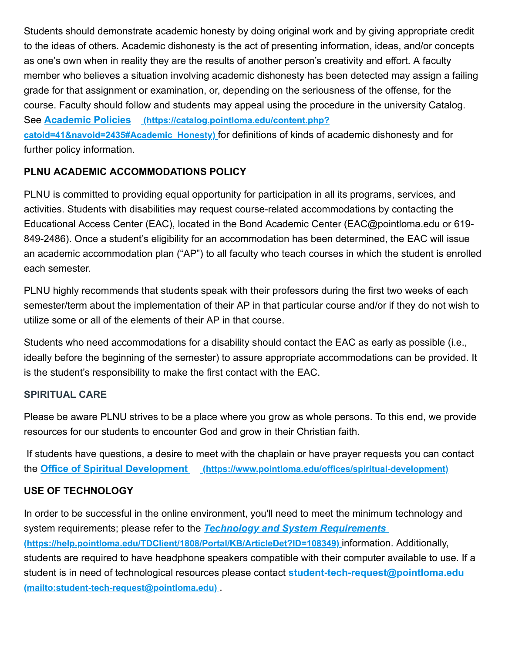Students should demonstrate academic honesty by doing original work and by giving appropriate credit to the ideas of others. Academic dishonesty is the act of presenting information, ideas, and/or concepts as one's own when in reality they are the results of another person's creativity and effort. A faculty member who believes a situation involving academic dishonesty has been detected may assign a failing grade for that assignment or examination, or, depending on the seriousness of the offense, for the course. Faculty should follow and students may appeal using the procedure in the university Catalog. See **Academic Policies (https://catalog.pointloma.edu/content.php? [catoid=41&navoid=2435#Academic\\_Honesty\)](https://catalog.pointloma.edu/content.php?catoid=41&navoid=2435#Academic_Honesty)** for definitions of kinds of academic dishonesty and for further policy information.

# **PLNU ACADEMIC ACCOMMODATIONS POLICY**

PLNU is committed to providing equal opportunity for participation in all its programs, services, and activities. Students with disabilities may request course-related accommodations by contacting the Educational Access Center (EAC), located in the Bond Academic Center (EAC@pointloma.edu or 619- 849-2486). Once a student's eligibility for an accommodation has been determined, the EAC will issue an academic accommodation plan ("AP") to all faculty who teach courses in which the student is enrolled each semester.

PLNU highly recommends that students speak with their professors during the first two weeks of each semester/term about the implementation of their AP in that particular course and/or if they do not wish to utilize some or all of the elements of their AP in that course.

Students who need accommodations for a disability should contact the EAC as early as possible (i.e., ideally before the beginning of the semester) to assure appropriate accommodations can be provided. It is the student's responsibility to make the first contact with the EAC.

#### **SPIRITUAL CARE**

Please be aware PLNU strives to be a place where you grow as whole persons. To this end, we provide resources for our students to encounter God and grow in their Christian faith.

If students have questions, a desire to meet with the chaplain or have prayer requests you can contact the **Office of Spiritual Development [\(https://www.pointloma.edu/offices/spiritual-development\)](https://www.pointloma.edu/offices/spiritual-development)**

#### **USE OF TECHNOLOGY**

In order to be successful in the online environment, you'll need to meet the minimum technology and system requirements; please refer to the *Technology and System Requirements*  **[\(https://help.pointloma.edu/TDClient/1808/Portal/KB/ArticleDet?ID=108349\)](https://help.pointloma.edu/TDClient/1808/Portal/KB/ArticleDet?ID=108349)** information. Additionally, students are required to have headphone speakers compatible with their computer available to use. If a [student is in need of technological resources please contact](mailto:student-tech-request@pointloma.edu) **student-tech-request@pointloma.edu (mailto:student-tech-request@pointloma.edu)** .